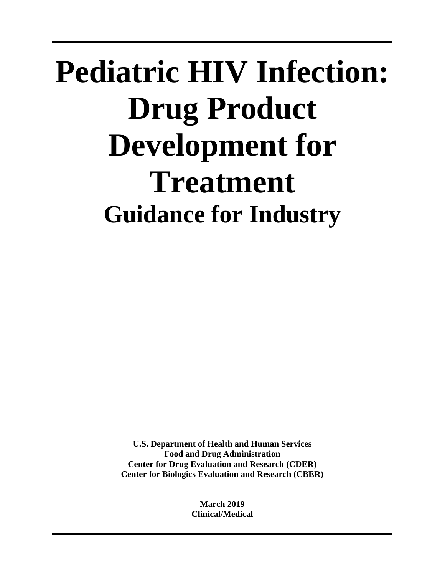# **Pediatric HIV Infection: Drug Product Development for Treatment Guidance for Industry**

**U.S. Department of Health and Human Services Food and Drug Administration Center for Drug Evaluation and Research (CDER) Center for Biologics Evaluation and Research (CBER)**

> **March 2019 Clinical/Medical**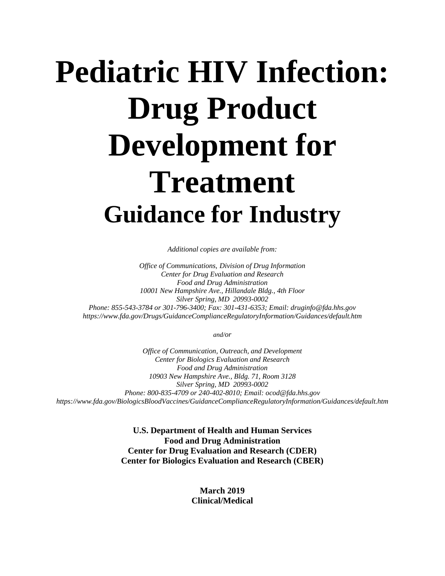# **Pediatric HIV Infection: Drug Product Development for Treatment Guidance for Industry**

*Additional copies are available from:*

*Office of Communications, Division of Drug Information Center for Drug Evaluation and Research Food and Drug Administration 10001 New Hampshire Ave., Hillandale Bldg., 4th Floor Silver Spring, MD 20993-0002 Phone: 855-543-3784 or 301-796-3400; Fax: 301-431-6353; Email: druginfo@fda.hhs.gov https://www.fda.gov/Drugs/GuidanceComplianceRegulatoryInformation/Guidances/default.htm*

*and/or*

*Office of Communication, Outreach, and Development Center for Biologics Evaluation and Research Food and Drug Administration 10903 New Hampshire Ave., Bldg. 71, Room 3128 Silver Spring, MD 20993-0002 Phone: 800-835-4709 or 240-402-8010; Email: ocod@fda.hhs.gov https://www.fda.gov/BiologicsBloodVaccines/GuidanceComplianceRegulatoryInformation/Guidances/default.htm*

> **U.S. Department of Health and Human Services Food and Drug Administration Center for Drug Evaluation and Research (CDER) Center for Biologics Evaluation and Research (CBER)**

> > **March 2019 Clinical/Medical**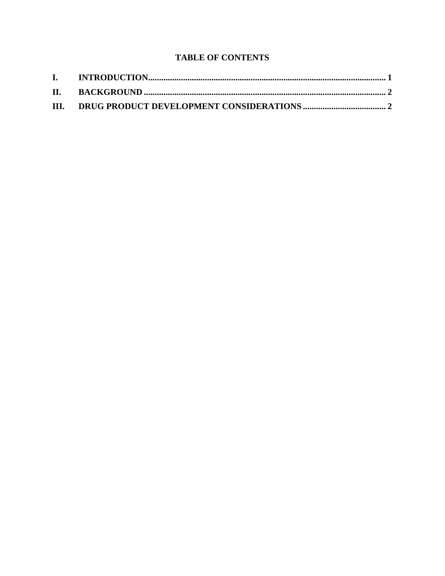# **TABLE OF CONTENTS**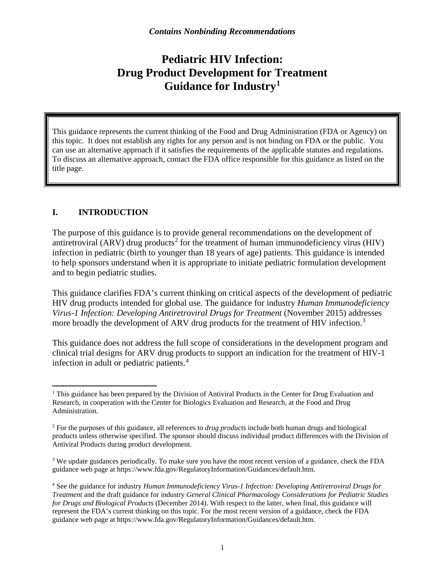# **Pediatric HIV Infection: Drug Product Development for Treatment Guidance for Industry[1](#page-3-0)**

This guidance represents the current thinking of the Food and Drug Administration (FDA or Agency) on this topic. It does not establish any rights for any person and is not binding on FDA or the public. You can use an alternative approach if it satisfies the requirements of the applicable statutes and regulations. To discuss an alternative approach, contact the FDA office responsible for this guidance as listed on the title page.

## **I. INTRODUCTION**

The purpose of this guidance is to provide general recommendations on the development of antiretroviral (ARV) drug products<sup>[2](#page-3-1)</sup> for the treatment of human immunodeficiency virus (HIV) infection in pediatric (birth to younger than 18 years of age) patients. This guidance is intended to help sponsors understand when it is appropriate to initiate pediatric formulation development and to begin pediatric studies.

This guidance clarifies FDA's current thinking on critical aspects of the development of pediatric HIV drug products intended for global use. The guidance for industry *Human Immunodeficiency Virus-1 Infection: Developing Antiretroviral Drugs for Treatment* (November 2015) addresses more broadly the development of ARV drug products for the treatment of HIV infection.<sup>[3](#page-3-2)</sup>

This guidance does not address the full scope of considerations in the development program and clinical trial designs for ARV drug products to support an indication for the treatment of HIV-1 infection in adult or pediatric patients. [4](#page-3-3)

<span id="page-3-0"></span><sup>&</sup>lt;sup>1</sup> This guidance has been prepared by the Division of Antiviral Products in the Center for Drug Evaluation and Research, in cooperation with the Center for Biologics Evaluation and Research, at the Food and Drug Administration.

<span id="page-3-1"></span><sup>2</sup> For the purposes of this guidance, all references to *drug products* include both human drugs and biological products unless otherwise specified. The sponsor should discuss individual product differences with the Division of Antiviral Products during product development.

<span id="page-3-2"></span><sup>&</sup>lt;sup>3</sup> We update guidances periodically. To make sure you have the most recent version of a guidance, check the FDA guidance web page at [https://www.fda.gov/RegulatoryInformation/Guidances/default.htm.](https://www.fda.gov/RegulatoryInformation/Guidances/default.htm) 

<span id="page-3-3"></span><sup>4</sup> See the guidance for industry *Human Immunodeficiency Virus-1 Infection: Developing Antiretroviral Drugs for Treatment* and the draft guidance for industry *General Clinical Pharmacology Considerations for Pediatric Studies for Drugs and Biological Products* (December 2014). With respect to the latter, when final, this guidance will represent the FDA's current thinking on this topic. For the most recent version of a guidance, check the FDA guidance web page at [https://www.fda.gov/RegulatoryInformation/Guidances/default.htm.](https://www.fda.gov/RegulatoryInformation/Guidances/default.htm)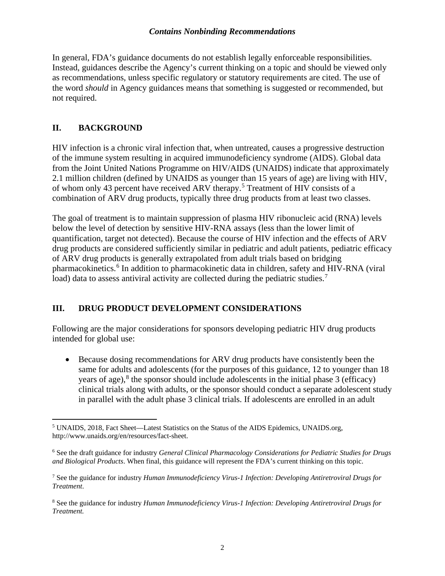#### *Contains Nonbinding Recommendations*

In general, FDA's guidance documents do not establish legally enforceable responsibilities. Instead, guidances describe the Agency's current thinking on a topic and should be viewed only as recommendations, unless specific regulatory or statutory requirements are cited. The use of the word *should* in Agency guidances means that something is suggested or recommended, but not required.

## **II. BACKGROUND**

HIV infection is a chronic viral infection that, when untreated, causes a progressive destruction of the immune system resulting in acquired immunodeficiency syndrome (AIDS). Global data from the Joint United Nations Programme on HIV/AIDS (UNAIDS) indicate that approximately 2.1 million children (defined by UNAIDS as younger than 15 years of age) are living with HIV, of whom only 43 percent have received ARV therapy. [5](#page-4-0) Treatment of HIV consists of a combination of ARV drug products, typically three drug products from at least two classes.

The goal of treatment is to maintain suppression of plasma HIV ribonucleic acid (RNA) levels below the level of detection by sensitive HIV-RNA assays (less than the lower limit of quantification, target not detected). Because the course of HIV infection and the effects of ARV drug products are considered sufficiently similar in pediatric and adult patients, pediatric efficacy of ARV drug products is generally extrapolated from adult trials based on bridging pharmacokinetics. [6](#page-4-1) In addition to pharmacokinetic data in children, safety and HIV-RNA (viral load) data to assess antiviral activity are collected during the pediatric studies.<sup>[7](#page-4-2)</sup>

## **III. DRUG PRODUCT DEVELOPMENT CONSIDERATIONS**

Following are the major considerations for sponsors developing pediatric HIV drug products intended for global use:

Because dosing recommendations for ARV drug products have consistently been the same for adults and adolescents (for the purposes of this guidance, 12 to younger than 18 years of age), [8](#page-4-3) the sponsor should include adolescents in the initial phase 3 (efficacy) clinical trials along with adults, or the sponsor should conduct a separate adolescent study in parallel with the adult phase 3 clinical trials. If adolescents are enrolled in an adult

<span id="page-4-0"></span> <sup>5</sup> UNAIDS, 2018, Fact Sheet—Latest Statistics on the Status of the AIDS Epidemics, UNAIDS.org, [http://www.unaids.org/en/resources/fact-sheet.](http://www.unaids.org/en/resources/fact-sheet)

<span id="page-4-1"></span><sup>6</sup> See the draft guidance for industry *General Clinical Pharmacology Considerations for Pediatric Studies for Drugs and Biological Products*. When final, this guidance will represent the FDA's current thinking on this topic.

<span id="page-4-2"></span><sup>7</sup> See the guidance for industry *Human Immunodeficiency Virus-1 Infection: Developing Antiretroviral Drugs for Treatment*.

<span id="page-4-3"></span><sup>8</sup> See the guidance for industry *Human Immunodeficiency Virus-1 Infection: Developing Antiretroviral Drugs for Treatment.*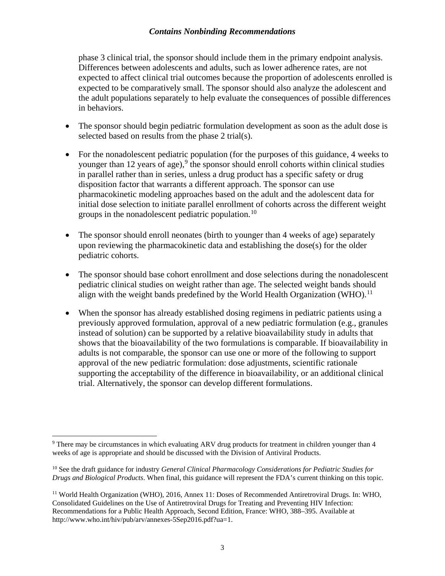#### *Contains Nonbinding Recommendations*

phase 3 clinical trial, the sponsor should include them in the primary endpoint analysis. Differences between adolescents and adults, such as lower adherence rates, are not expected to affect clinical trial outcomes because the proportion of adolescents enrolled is expected to be comparatively small. The sponsor should also analyze the adolescent and the adult populations separately to help evaluate the consequences of possible differences in behaviors.

- The sponsor should begin pediatric formulation development as soon as the adult dose is selected based on results from the phase 2 trial(s).
- For the nonadolescent pediatric population (for the purposes of this guidance, 4 weeks to younger than 12 years of age), $9$  the sponsor should enroll cohorts within clinical studies in parallel rather than in series, unless a drug product has a specific safety or drug disposition factor that warrants a different approach. The sponsor can use pharmacokinetic modeling approaches based on the adult and the adolescent data for initial dose selection to initiate parallel enrollment of cohorts across the different weight groups in the nonadolescent pediatric population.<sup>[10](#page-5-1)</sup>
- The sponsor should enroll neonates (birth to younger than 4 weeks of age) separately upon reviewing the pharmacokinetic data and establishing the dose(s) for the older pediatric cohorts.
- The sponsor should base cohort enrollment and dose selections during the nonadolescent pediatric clinical studies on weight rather than age. The selected weight bands should align with the weight bands predefined by the World Health Organization (WHO).<sup>[11](#page-5-2)</sup>
- When the sponsor has already established dosing regimens in pediatric patients using a previously approved formulation, approval of a new pediatric formulation (e.g., granules instead of solution) can be supported by a relative bioavailability study in adults that shows that the bioavailability of the two formulations is comparable. If bioavailability in adults is not comparable, the sponsor can use one or more of the following to support approval of the new pediatric formulation: dose adjustments, scientific rationale supporting the acceptability of the difference in bioavailability, or an additional clinical trial. Alternatively, the sponsor can develop different formulations.

<span id="page-5-0"></span><sup>&</sup>lt;sup>9</sup> There may be circumstances in which evaluating ARV drug products for treatment in children younger than 4 weeks of age is appropriate and should be discussed with the Division of Antiviral Products.

<span id="page-5-1"></span><sup>10</sup> See the draft guidance for industry *General Clinical Pharmacology Considerations for Pediatric Studies for Drugs and Biological Products*. When final, this guidance will represent the FDA's current thinking on this topic.

<span id="page-5-2"></span><sup>11</sup> World Health Organization (WHO), 2016, Annex 11: Doses of Recommended Antiretroviral Drugs. In: WHO, Consolidated Guidelines on the Use of Antiretroviral Drugs for Treating and Preventing HIV Infection: Recommendations for a Public Health Approach, Second Edition, France: WHO, 388–395. Available at [http://www.who.int/hiv/pub/arv/annexes-5Sep2016.pdf?ua=1.](http://www.who.int/hiv/pub/arv/annexes-5Sep2016.pdf?ua=1)